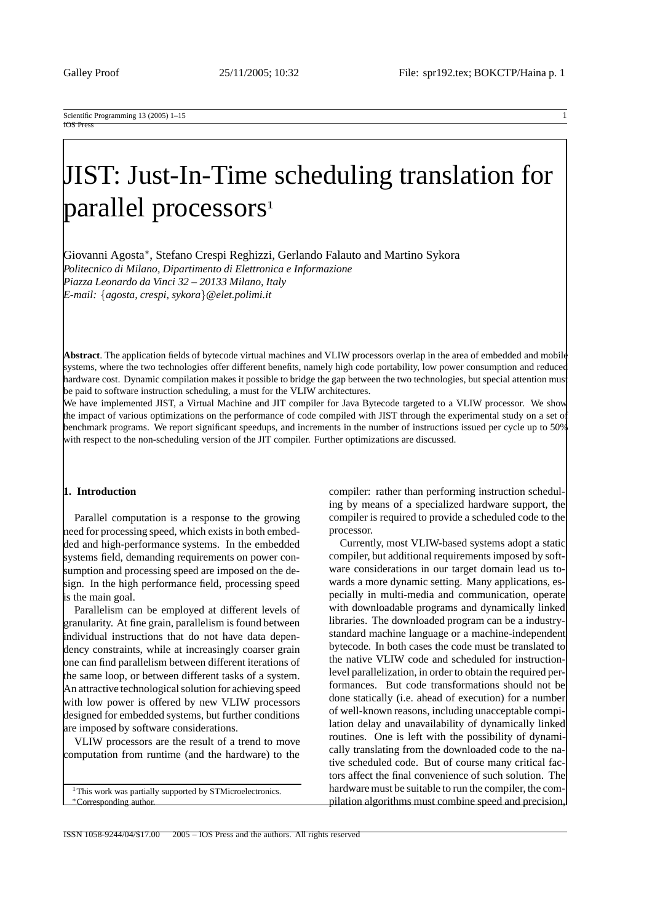# JIST: Just-In-Time scheduling translation for parallel processors<sup>1</sup>

Giovanni Agosta<sup>∗</sup> , Stefano Crespi Reghizzi, Gerlando Falauto and Martino Sykora *Politecnico di Milano, Dipartimento di Elettronica e Informazione Piazza Leonardo da Vinci 32 – 20133 Milano, Italy E-mail:* {*agosta, crespi, sykora*}*@elet.polimi.it*

**Abstract**. The application fields of bytecode virtual machines and VLIW processors overlap in the area of embedded and mobile systems, where the two technologies offer different benefits, namely high code portability, low power consumption and reduced hardware cost. Dynamic compilation makes it possible to bridge the gap between the two technologies, but special attention must be paid to software instruction scheduling, a must for the VLIW architectures.

We have implemented JIST, a Virtual Machine and JIT compiler for Java Bytecode targeted to a VLIW processor. We show the impact of various optimizations on the performance of code compiled with JIST through the experimental study on a set of benchmark programs. We report significant speedups, and increments in the number of instructions issued per cycle up to 50% with respect to the non-scheduling version of the JIT compiler. Further optimizations are discussed.

#### **1. Introduction**

Parallel computation is a response to the growing need for processing speed, which exists in both embedded and high-performance systems. In the embedded systems field, demanding requirements on power consumption and processing speed are imposed on the design. In the high performance field, processing speed is the main goal.

Parallelism can be employed at different levels of granularity. At fine grain, parallelism is found between individual instructions that do not have data dependency constraints, while at increasingly coarser grain one can find parallelism between different iterations of the same loop, or between different tasks of a system. An attractive technological solution for achieving speed with low power is offered by new VLIW processors designed for embedded systems, but further conditions are imposed by software considerations.

VLIW processors are the result of a trend to move computation from runtime (and the hardware) to the

compiler: rather than performing instruction scheduling by means of a specialized hardware support, the compiler is required to provide a scheduled code to the processor.

Currently, most VLIW-based systems adopt a static compiler, but additional requirements imposed by software considerations in our target domain lead us towards a more dynamic setting. Many applications, especially in multi-media and communication, operate with downloadable programs and dynamically linked libraries. The downloaded program can be a industrystandard machine language or a machine-independent bytecode. In both cases the code must be translated to the native VLIW code and scheduled for instructionlevel parallelization, in order to obtain the required performances. But code transformations should not be done statically (i.e. ahead of execution) for a number of well-known reasons, including unacceptable compilation delay and unavailability of dynamically linked routines. One is left with the possibility of dynamically translating from the downloaded code to the native scheduled code. But of course many critical factors affect the final convenience of such solution. The hardware must be suitable to run the compiler, the compilation algorithms must combine speed and precision,

<sup>&</sup>lt;sup>1</sup>This work was partially supported by STMicroelectronics. <sup>∗</sup>Corresponding author.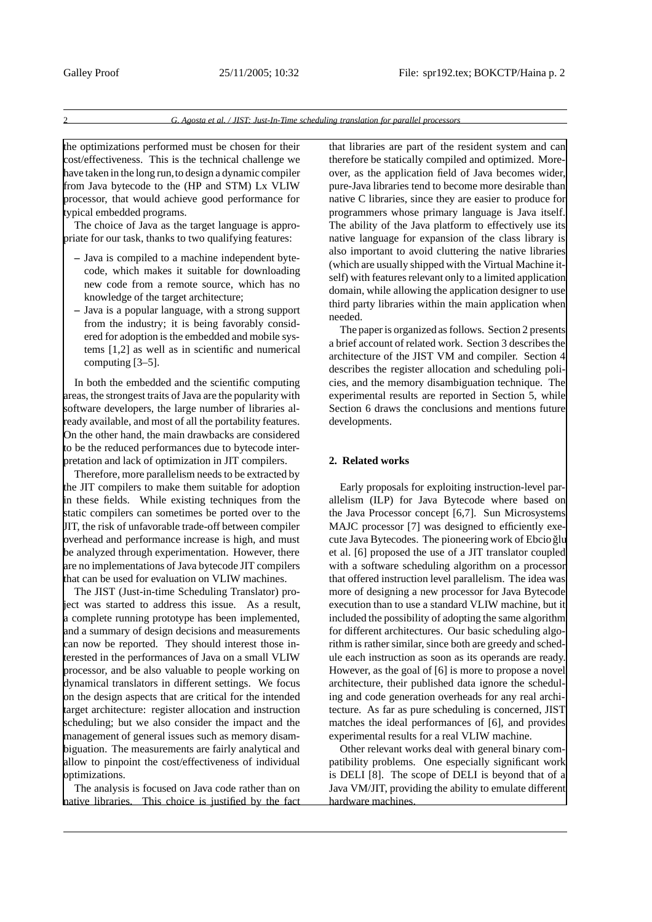the optimizations performed must be chosen for their cost/effectiveness. This is the technical challenge we have taken in the long run, to design a dynamic compiler from Java bytecode to the (HP and STM) Lx VLIW processor, that would achieve good performance for typical embedded programs.

The choice of Java as the target language is appropriate for our task, thanks to two qualifying features:

- **–** Java is compiled to a machine independent bytecode, which makes it suitable for downloading new code from a remote source, which has no knowledge of the target architecture;
- **–** Java is a popular language, with a strong support from the industry; it is being favorably considered for adoption is the embedded and mobile systems [1,2] as well as in scientific and numerical computing [3–5].

In both the embedded and the scientific computing areas, the strongest traits of Java are the popularity with software developers, the large number of libraries already available, and most of all the portability features. On the other hand, the main drawbacks are considered to be the reduced performances due to bytecode interpretation and lack of optimization in JIT compilers.

Therefore, more parallelism needs to be extracted by the JIT compilers to make them suitable for adoption in these fields. While existing techniques from the static compilers can sometimes be ported over to the JIT, the risk of unfavorable trade-off between compiler overhead and performance increase is high, and must be analyzed through experimentation. However, there are no implementations of Java bytecode JIT compilers that can be used for evaluation on VLIW machines.

The JIST (Just-in-time Scheduling Translator) project was started to address this issue. As a result, a complete running prototype has been implemented, and a summary of design decisions and measurements can now be reported. They should interest those interested in the performances of Java on a small VLIW processor, and be also valuable to people working on dynamical translators in different settings. We focus on the design aspects that are critical for the intended target architecture: register allocation and instruction scheduling; but we also consider the impact and the management of general issues such as memory disambiguation. The measurements are fairly analytical and allow to pinpoint the cost/effectiveness of individual optimizations.

The analysis is focused on Java code rather than on native libraries. This choice is justified by the fact that libraries are part of the resident system and can therefore be statically compiled and optimized. Moreover, as the application field of Java becomes wider, pure-Java libraries tend to become more desirable than native C libraries, since they are easier to produce for programmers whose primary language is Java itself. The ability of the Java platform to effectively use its native language for expansion of the class library is also important to avoid cluttering the native libraries (which are usually shipped with the Virtual Machine itself) with features relevant only to a limited application domain, while allowing the application designer to use third party libraries within the main application when needed.

The paper is organized as follows. Section 2 presents a brief account of related work. Section 3 describes the architecture of the JIST VM and compiler. Section 4 describes the register allocation and scheduling policies, and the memory disambiguation technique. The experimental results are reported in Section 5, while Section 6 draws the conclusions and mentions future developments.

## **2. Related works**

Early proposals for exploiting instruction-level parallelism (ILP) for Java Bytecode where based on the Java Processor concept [6,7]. Sun Microsystems MAJC processor [7] was designed to efficiently execute Java Bytecodes. The pioneering work of Ebcio ğlu et al. [6] proposed the use of a JIT translator coupled with a software scheduling algorithm on a processor that offered instruction level parallelism. The idea was more of designing a new processor for Java Bytecode execution than to use a standard VLIW machine, but it included the possibility of adopting the same algorithm for different architectures. Our basic scheduling algorithm is rather similar, since both are greedy and schedule each instruction as soon as its operands are ready. However, as the goal of [6] is more to propose a novel architecture, their published data ignore the scheduling and code generation overheads for any real architecture. As far as pure scheduling is concerned, JIST matches the ideal performances of [6], and provides experimental results for a real VLIW machine.

Other relevant works deal with general binary compatibility problems. One especially significant work is DELI [8]. The scope of DELI is beyond that of a Java VM/JIT, providing the ability to emulate different hardware machines.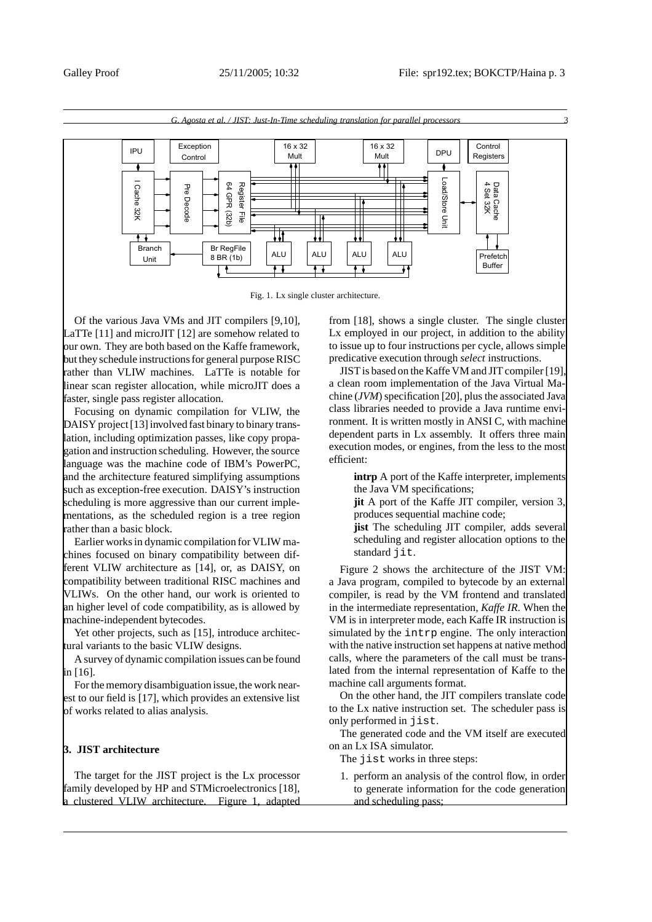

Fig. 1. Lx single cluster architecture.

Of the various Java VMs and JIT compilers [9,10], LaTTe [11] and microJIT [12] are somehow related to our own. They are both based on the Kaffe framework, but they schedule instructions for general purpose RISC rather than VLIW machines. LaTTe is notable for linear scan register allocation, while microJIT does a faster, single pass register allocation.

Focusing on dynamic compilation for VLIW, the DAISY project [13] involved fast binary to binary translation, including optimization passes, like copy propagation and instruction scheduling. However, the source language was the machine code of IBM's PowerPC, and the architecture featured simplifying assumptions such as exception-free execution. DAISY's instruction scheduling is more aggressive than our current implementations, as the scheduled region is a tree region rather than a basic block.

Earlier works in dynamic compilation for VLIW machines focused on binary compatibility between different VLIW architecture as [14], or, as DAISY, on compatibility between traditional RISC machines and VLIWs. On the other hand, our work is oriented to an higher level of code compatibility, as is allowed by machine-independent bytecodes.

Yet other projects, such as [15], introduce architectural variants to the basic VLIW designs.

A survey of dynamic compilation issues can be found in [16].

For the memory disambiguation issue, the work nearest to our field is [17], which provides an extensive list of works related to alias analysis.

# **3. JIST architecture**

The target for the JIST project is the Lx processor family developed by HP and STMicroelectronics [18], a clustered VLIW architecture. Figure 1, adapted from [18], shows a single cluster. The single cluster Lx employed in our project, in addition to the ability to issue up to four instructions per cycle, allows simple predicative execution through *select* instructions.

JIST is based on the Kaffe VM and JIT compiler[19], a clean room implementation of the Java Virtual Machine (*JVM*) specification [20], plus the associated Java class libraries needed to provide a Java runtime environment. It is written mostly in ANSI C, with machine dependent parts in Lx assembly. It offers three main execution modes, or engines, from the less to the most efficient:

> **intrp** A port of the Kaffe interpreter, implements the Java VM specifications;

> **jit** A port of the Kaffe JIT compiler, version 3, produces sequential machine code;

**jist** The scheduling JIT compiler, adds several scheduling and register allocation options to the standard jit.

Figure 2 shows the architecture of the JIST VM: a Java program, compiled to bytecode by an external compiler, is read by the VM frontend and translated in the intermediate representation, *Kaffe IR*. When the VM is in interpreter mode, each Kaffe IR instruction is simulated by the intrp engine. The only interaction with the native instruction set happens at native method calls, where the parameters of the call must be translated from the internal representation of Kaffe to the machine call arguments format.

On the other hand, the JIT compilers translate code to the Lx native instruction set. The scheduler pass is only performed in jist.

The generated code and the VM itself are executed on an Lx ISA simulator.

The jist works in three steps:

1. perform an analysis of the control flow, in order to generate information for the code generation and scheduling pass;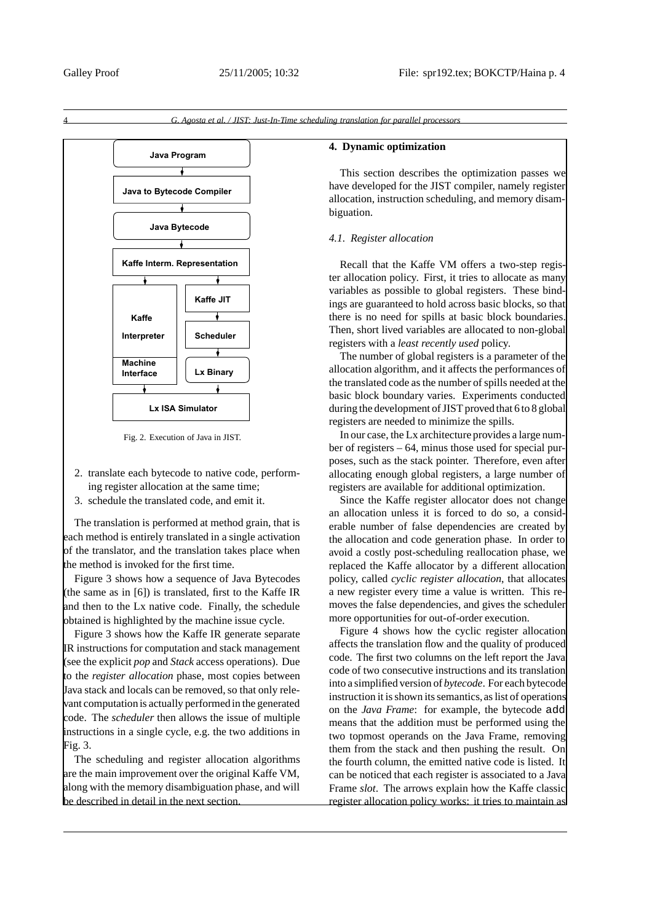

Fig. 2. Execution of Java in JIST.

- 2. translate each bytecode to native code, performing register allocation at the same time;
- 3. schedule the translated code, and emit it.

The translation is performed at method grain, that is each method is entirely translated in a single activation of the translator, and the translation takes place when the method is invoked for the first time.

Figure 3 shows how a sequence of Java Bytecodes (the same as in [6]) is translated, first to the Kaffe IR and then to the Lx native code. Finally, the schedule obtained is highlighted by the machine issue cycle.

Figure 3 shows how the Kaffe IR generate separate IR instructions for computation and stack management (see the explicit *pop* and *Stack* access operations). Due to the *register allocation* phase, most copies between Java stack and locals can be removed, so that only relevant computation is actually performed in the generated code. The *scheduler* then allows the issue of multiple instructions in a single cycle, e.g. the two additions in Fig. 3.

The scheduling and register allocation algorithms are the main improvement over the original Kaffe VM, along with the memory disambiguation phase, and will be described in detail in the next section.

#### **4. Dynamic optimization**

This section describes the optimization passes we have developed for the JIST compiler, namely register allocation, instruction scheduling, and memory disambiguation.

## *4.1. Register allocation*

Recall that the Kaffe VM offers a two-step register allocation policy. First, it tries to allocate as many variables as possible to global registers. These bindings are guaranteed to hold across basic blocks, so that there is no need for spills at basic block boundaries. Then, short lived variables are allocated to non-global registers with a *least recently used* policy.

The number of global registers is a parameter of the allocation algorithm, and it affects the performances of the translated code as the number of spills needed at the basic block boundary varies. Experiments conducted during the development of JIST proved that 6 to 8 global registers are needed to minimize the spills.

In our case, the Lx architecture provides a large number of registers – 64, minus those used for special purposes, such as the stack pointer. Therefore, even after allocating enough global registers, a large number of registers are available for additional optimization.

Since the Kaffe register allocator does not change an allocation unless it is forced to do so, a considerable number of false dependencies are created by the allocation and code generation phase. In order to avoid a costly post-scheduling reallocation phase, we replaced the Kaffe allocator by a different allocation policy, called *cyclic register allocation*, that allocates a new register every time a value is written. This removes the false dependencies, and gives the scheduler more opportunities for out-of-order execution.

Figure 4 shows how the cyclic register allocation affects the translation flow and the quality of produced code. The first two columns on the left report the Java code of two consecutive instructions and its translation into a simplified version of *bytecode*. For each bytecode instruction it is shown its semantics, as list of operations on the *Java Frame*: for example, the bytecode add means that the addition must be performed using the two topmost operands on the Java Frame, removing them from the stack and then pushing the result. On the fourth column, the emitted native code is listed. It can be noticed that each register is associated to a Java Frame *slot*. The arrows explain how the Kaffe classic register allocation policy works: it tries to maintain as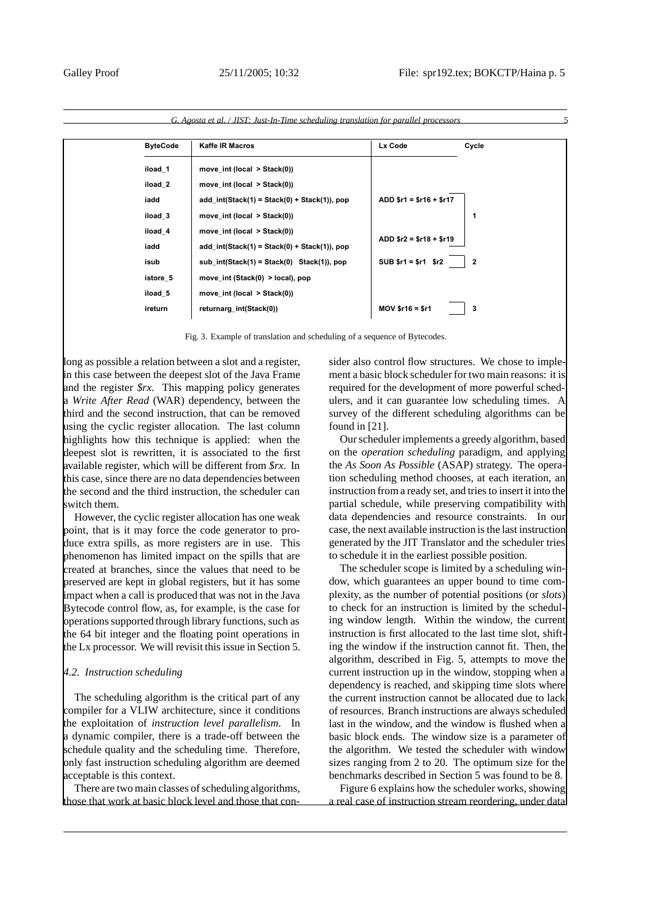| <b>ByteCode</b> | <b>Kaffe IR Macros</b>                          | Lx Code                 | Cycle          |
|-----------------|-------------------------------------------------|-------------------------|----------------|
| iload 1         | move_int (local $>$ Stack(0))                   |                         |                |
| iload_2         | move_int (local $>$ Stack(0))                   |                         |                |
| iadd            | $add\_int(Stack(1) = Stack(0) + Stack(1)), pop$ | ADD $$r1 = $r16 + $r17$ |                |
| iload_3         | move int (local $>$ Stack(0))                   |                         | 1              |
| iload 4         | move int (local $>$ Stack(0))                   |                         |                |
| iadd            | $add\_int(Stack(1) = Stack(0) + Stack(1)), pop$ | ADD $r2 = r18 + r19$    |                |
| isub            | $sub-int(Stack(1) = Stack(0)$ Stack(1)), pop    | $SUB $r1 = $r1 $r2$     | $\overline{2}$ |
| istore_5        | move_int $(Stack(0) > local)$ , pop             |                         |                |
| iload_5         | move_int (local $>$ Stack(0))                   |                         |                |
| ireturn         | returnarg_int(Stack(0))                         | $MOV$ \$r16 = \$r1      | 3              |

Fig. 3. Example of translation and scheduling of a sequence of Bytecodes.

long as possible a relation between a slot and a register, in this case between the deepest slot of the Java Frame and the register *\$rx*. This mapping policy generates a *Write After Read* (WAR) dependency, between the third and the second instruction, that can be removed using the cyclic register allocation. The last column highlights how this technique is applied: when the deepest slot is rewritten, it is associated to the first available register, which will be different from *\$rx*. In this case, since there are no data dependencies between the second and the third instruction, the scheduler can switch them.

However, the cyclic register allocation has one weak point, that is it may force the code generator to produce extra spills, as more registers are in use. This phenomenon has limited impact on the spills that are created at branches, since the values that need to be preserved are kept in global registers, but it has some impact when a call is produced that was not in the Java Bytecode control flow, as, for example, is the case for operations supported through library functions, such as the 64 bit integer and the floating point operations in the Lx processor. We will revisit this issue in Section 5.

## *4.2. Instruction scheduling*

The scheduling algorithm is the critical part of any compiler for a VLIW architecture, since it conditions the exploitation of *instruction level parallelism*. In a dynamic compiler, there is a trade-off between the schedule quality and the scheduling time. Therefore, only fast instruction scheduling algorithm are deemed acceptable is this context.

There are two main classes of scheduling algorithms, those that work at basic block level and those that consider also control flow structures. We chose to implement a basic block scheduler for two main reasons: it is required for the development of more powerful schedulers, and it can guarantee low scheduling times. A survey of the different scheduling algorithms can be found in [21].

Ourscheduler implements a greedy algorithm, based on the *operation scheduling* paradigm, and applying the *As Soon As Possible* (ASAP) strategy. The operation scheduling method chooses, at each iteration, an instruction from a ready set, and tries to insert it into the partial schedule, while preserving compatibility with data dependencies and resource constraints. In our case, the next available instruction isthe last instruction generated by the JIT Translator and the scheduler tries to schedule it in the earliest possible position.

The scheduler scope is limited by a scheduling window, which guarantees an upper bound to time complexity, as the number of potential positions (or *slots*) to check for an instruction is limited by the scheduling window length. Within the window, the current instruction is first allocated to the last time slot, shifting the window if the instruction cannot fit. Then, the algorithm, described in Fig. 5, attempts to move the current instruction up in the window, stopping when a dependency is reached, and skipping time slots where the current instruction cannot be allocated due to lack of resources. Branch instructions are always scheduled last in the window, and the window is flushed when a basic block ends. The window size is a parameter of the algorithm. We tested the scheduler with window sizes ranging from 2 to 20. The optimum size for the benchmarks described in Section 5 was found to be 8.

Figure 6 explains how the scheduler works, showing a real case of instruction stream reordering, under data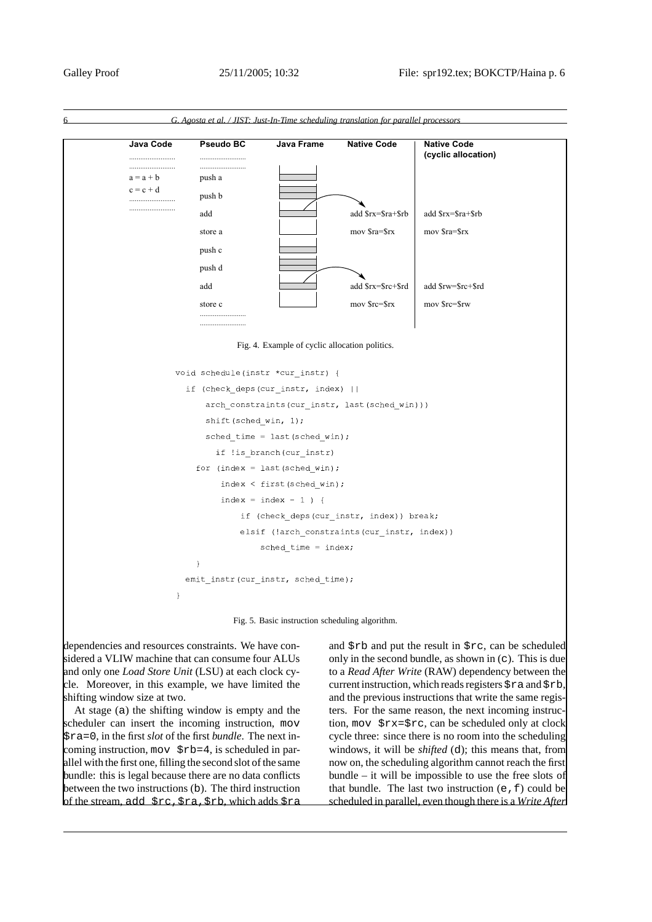

dependencies and resources constraints. We have considered a VLIW machine that can consume four ALUs and only one *Load Store Unit* (LSU) at each clock cycle. Moreover, in this example, we have limited the shifting window size at two.

At stage (a) the shifting window is empty and the scheduler can insert the incoming instruction, mov \$ra=0, in the first *slot* of the first *bundle*. The next incoming instruction, mov  $\sinh 2\pi$  is scheduled in parallel with the first one, filling the second slot of the same bundle: this is legal because there are no data conflicts between the two instructions (b). The third instruction of the stream, add \$rc,\$ra,\$rb, which adds \$ra and \$rb and put the result in \$rc, can be scheduled only in the second bundle, as shown in (c). This is due to a *Read After Write* (RAW) dependency between the current instruction, which reads registers  $\frac{1}{2}$  ra and  $\frac{1}{2}$  rb, and the previous instructions that write the same registers. For the same reason, the next incoming instruction, mov \$rx=\$rc, can be scheduled only at clock cycle three: since there is no room into the scheduling windows, it will be *shifted* (d); this means that, from now on, the scheduling algorithm cannot reach the first bundle – it will be impossible to use the free slots of that bundle. The last two instruction  $(e, f)$  could be scheduled in parallel, even though there is a *Write After*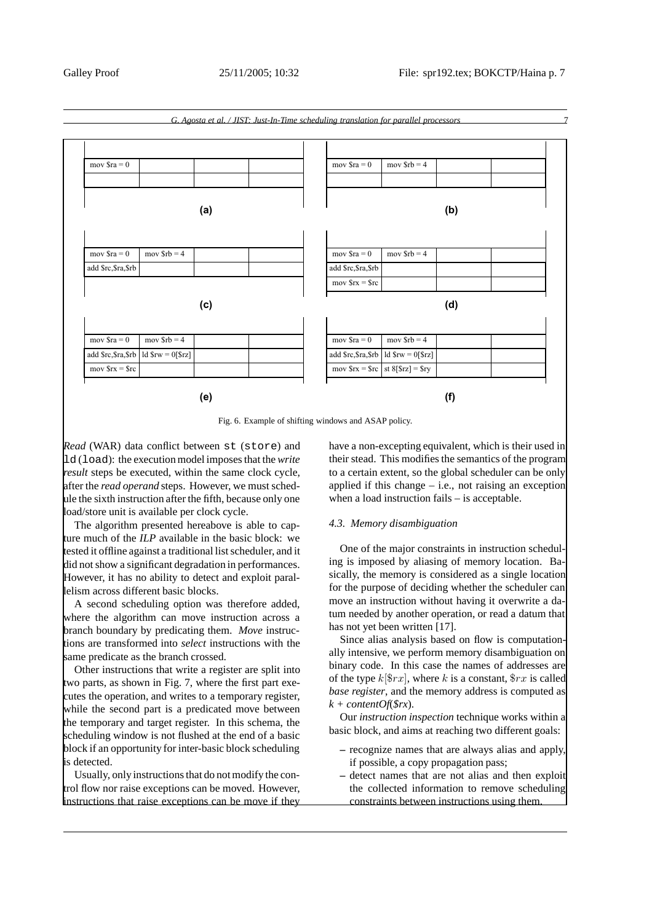

Fig. 6. Example of shifting windows and ASAP policy.

*Read* (WAR) data conflict between st (store) and ld (load): the executionmodel imposesthat the *write result* steps be executed, within the same clock cycle, after the *read operand* steps. However, we must schedule the sixth instruction after the fifth, because only one load/store unit is available per clock cycle.

The algorithm presented hereabove is able to capture much of the *ILP* available in the basic block: we tested it offline against a traditional list scheduler, and it did not show a significant degradation in performances. However, it has no ability to detect and exploit parallelism across different basic blocks.

A second scheduling option was therefore added, where the algorithm can move instruction across a branch boundary by predicating them. *Move* instructions are transformed into *select* instructions with the same predicate as the branch crossed.

Other instructions that write a register are split into two parts, as shown in Fig. 7, where the first part executes the operation, and writes to a temporary register, while the second part is a predicated move between the temporary and target register. In this schema, the scheduling window is not flushed at the end of a basic block if an opportunity for inter-basic block scheduling is detected.

Usually, only instructionsthat do not modify the control flow nor raise exceptions can be moved. However, instructions that raise exceptions can be move if they have a non-excepting equivalent, which is their used in their stead. This modifies the semantics of the program to a certain extent, so the global scheduler can be only applied if this change – i.e., not raising an exception when a load instruction fails – is acceptable.

#### *4.3. Memory disambiguation*

One of the major constraints in instruction scheduling is imposed by aliasing of memory location. Basically, the memory is considered as a single location for the purpose of deciding whether the scheduler can move an instruction without having it overwrite a datum needed by another operation, or read a datum that has not yet been written [17].

Since alias analysis based on flow is computationally intensive, we perform memory disambiguation on binary code. In this case the names of addresses are of the type  $k[\frac{6}{3}rx]$ , where k is a constant,  $\frac{6}{3}rx$  is called *base register*, and the memory address is computed as  $k + \text{contentOf}(\text{S}rx)$ .

Our *instruction inspection* technique works within a basic block, and aims at reaching two different goals:

- **–** recognize names that are always alias and apply, if possible, a copy propagation pass;
- **–** detect names that are not alias and then exploit the collected information to remove scheduling constraints between instructions using them.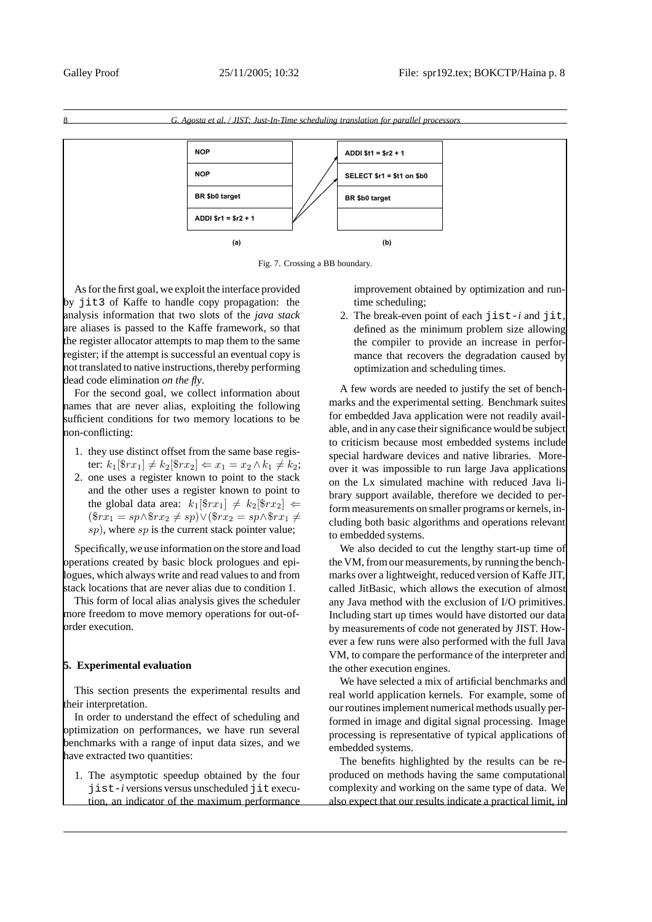

Fig. 7. Crossing a BB boundary.

Asforthe first goal, we exploit the interface provided by jit3 of Kaffe to handle copy propagation: the analysis information that two slots of the *java stack* are aliases is passed to the Kaffe framework, so that the register allocator attempts to map them to the same register; if the attempt is successful an eventual copy is not translated to native instructions, thereby performing dead code elimination *on the fly*.

For the second goal, we collect information about names that are never alias, exploiting the following sufficient conditions for two memory locations to be non-conflicting:

- 1. they use distinct offset from the same base register:  $k_1[\$rx_1] \neq k_2[\$rx_2] \Leftarrow x_1 = x_2 \wedge k_1 \neq k_2;$
- 2. one uses a register known to point to the stack and the other uses a register known to point to the global data area:  $k_1[\$rx_1] \neq k_2[\$rx_2] \Leftarrow$  $(\$rx_1 = sp \land \$rx_2 \neq sp) \lor (\$rx_2 = sp \land \$rx_1 \neq$  $sp$ ), where  $sp$  is the current stack pointer value;

Specifically, we use information on the store and load operations created by basic block prologues and epilogues, which always write and read values to and from stack locations that are never alias due to condition 1.

This form of local alias analysis gives the scheduler more freedom to move memory operations for out-oforder execution.

#### **5. Experimental evaluation**

This section presents the experimental results and their interpretation.

In order to understand the effect of scheduling and optimization on performances, we have run several benchmarks with a range of input data sizes, and we have extracted two quantities:

1. The asymptotic speedup obtained by the four jist-*i* versions versus unscheduled jit execution, an indicator of the maximum performance improvement obtained by optimization and runtime scheduling;

2. The break-even point of each jist-*i* and jit, defined as the minimum problem size allowing the compiler to provide an increase in performance that recovers the degradation caused by optimization and scheduling times.

A few words are needed to justify the set of benchmarks and the experimental setting. Benchmark suites for embedded Java application were not readily available, and in any case their significance would be subject to criticism because most embedded systems include special hardware devices and native libraries. Moreover it was impossible to run large Java applications on the Lx simulated machine with reduced Java library support available, therefore we decided to perform measurements on smaller programs or kernels, including both basic algorithms and operations relevant to embedded systems.

We also decided to cut the lengthy start-up time of the VM, fromour measurements, by running the benchmarks over a lightweight, reduced version of Kaffe JIT, called JitBasic, which allows the execution of almost any Java method with the exclusion of I/O primitives. Including start up times would have distorted our data by measurements of code not generated by JIST. However a few runs were also performed with the full Java VM, to compare the performance of the interpreter and the other execution engines.

We have selected a mix of artificial benchmarks and real world application kernels. For example, some of our routines implement numerical methods usually performed in image and digital signal processing. Image processing is representative of typical applications of embedded systems.

The benefits highlighted by the results can be reproduced on methods having the same computational complexity and working on the same type of data. We also expect that our results indicate a practical limit, in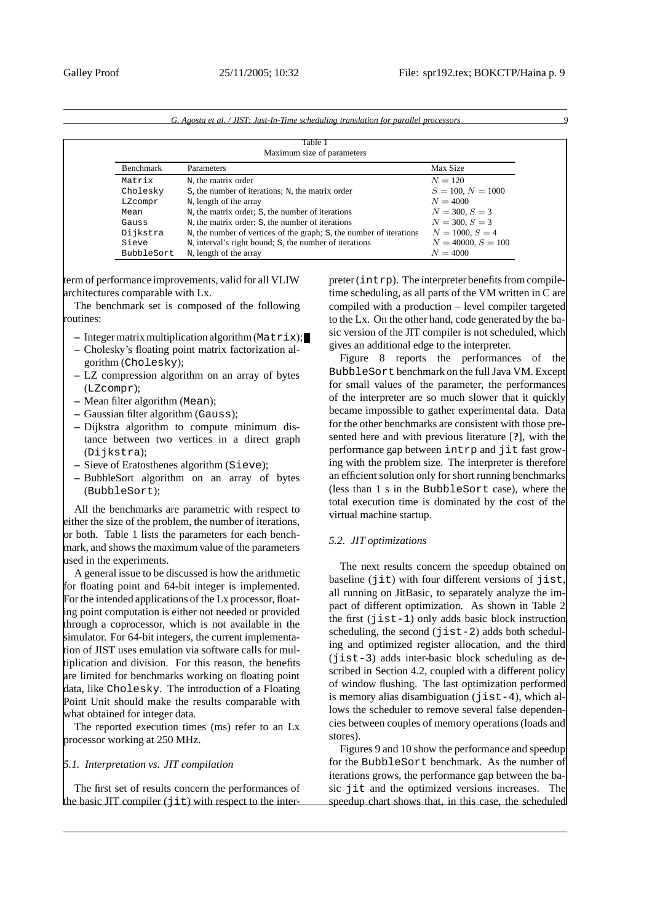| <b>Galley Proof</b> |  |
|---------------------|--|
|---------------------|--|

| G. Agosta et al. / JIST: Just-In-Time scheduling translation for parallel processors |  |  |
|--------------------------------------------------------------------------------------|--|--|
|                                                                                      |  |  |

|                  | Table 1<br>Maximum size of parameters                               |                      |
|------------------|---------------------------------------------------------------------|----------------------|
| <b>Benchmark</b> | Parameters                                                          | Max Size             |
| Matrix           | N, the matrix order                                                 | $N = 120$            |
| Cholesky         | S, the number of iterations; N, the matrix order                    | $S = 100, N = 1000$  |
| LZcompr          | N, length of the array                                              | $N = 4000$           |
| Mean             | N, the matrix order; S, the number of iterations                    | $N = 300, S = 3$     |
| Gauss            | N, the matrix order; S, the number of iterations                    | $N = 300, S = 3$     |
| Dijkstra         | N, the number of vertices of the graph; S, the number of iterations | $N = 1000, S = 4$    |
| Sieve            | N, interval's right bound; S, the number of iterations              | $N = 40000, S = 100$ |
| BubbleSort       | N, length of the array                                              | $N = 4000$           |

term of performance improvements, valid for all VLIW architectures comparable with Lx.

The benchmark set is composed of the following routines:

- **–** Integer matrix multiplication algorithm (Matrix);
- **–** Cholesky's floating point matrix factorization algorithm (Cholesky);
- **–** LZ compression algorithm on an array of bytes (LZcompr);
- **–** Mean filter algorithm (Mean);
- **–** Gaussian filter algorithm (Gauss);
- **–** Dijkstra algorithm to compute minimum distance between two vertices in a direct graph (Dijkstra);
- **–** Sieve of Eratosthenes algorithm (Sieve);
- **–** BubbleSort algorithm on an array of bytes (BubbleSort);

All the benchmarks are parametric with respect to either the size of the problem, the number of iterations, or both. Table 1 lists the parameters for each benchmark, and shows the maximum value of the parameters used in the experiments.

A general issue to be discussed is how the arithmetic for floating point and 64-bit integer is implemented. For the intended applications of the Lx processor, floating point computation is either not needed or provided through a coprocessor, which is not available in the simulator. For 64-bit integers, the current implementation of JIST uses emulation via software calls for multiplication and division. For this reason, the benefits are limited for benchmarks working on floating point data, like Cholesky. The introduction of a Floating Point Unit should make the results comparable with what obtained for integer data.

The reported execution times (ms) refer to an Lx processor working at 250 MHz.

#### *5.1. Interpretation vs. JIT compilation*

The first set of results concern the performances of the basic JIT compiler  $(iit)$  with respect to the interpreter (intrp). The interpreter benefits from compiletime scheduling, as all parts of the VM written in C are compiled with a production – level compiler targeted to the Lx. On the other hand, code generated by the basic version of the JIT compiler is not scheduled, which gives an additional edge to the interpreter.

Figure 8 reports the performances of the BubbleSort benchmark on the fullJava VM. Except for small values of the parameter, the performances of the interpreter are so much slower that it quickly became impossible to gather experimental data. Data for the other benchmarks are consistent with those presented here and with previous literature [**?**], with the performance gap between intrp and jit fast growing with the problem size. The interpreter is therefore an efficient solution only for short running benchmarks (less than 1 s in the BubbleSort case), where the total execution time is dominated by the cost of the virtual machine startup.

#### *5.2. JIT optimizations*

The next results concern the speedup obtained on baseline (jit) with four different versions of jist, all running on JitBasic, to separately analyze the impact of different optimization. As shown in Table 2 the first (jist-1) only adds basic block instruction scheduling, the second  $(iist-2)$  adds both scheduling and optimized register allocation, and the third (jist-3) adds inter-basic block scheduling as described in Section 4.2, coupled with a different policy of window flushing. The last optimization performed is memory alias disambiguation  $(jist-4)$ , which allows the scheduler to remove several false dependencies between couples of memory operations (loads and stores).

Figures 9 and 10 show the performance and speedup for the BubbleSort benchmark. As the number of iterations grows, the performance gap between the basic jit and the optimized versions increases. The speedup chart shows that, in this case, the scheduled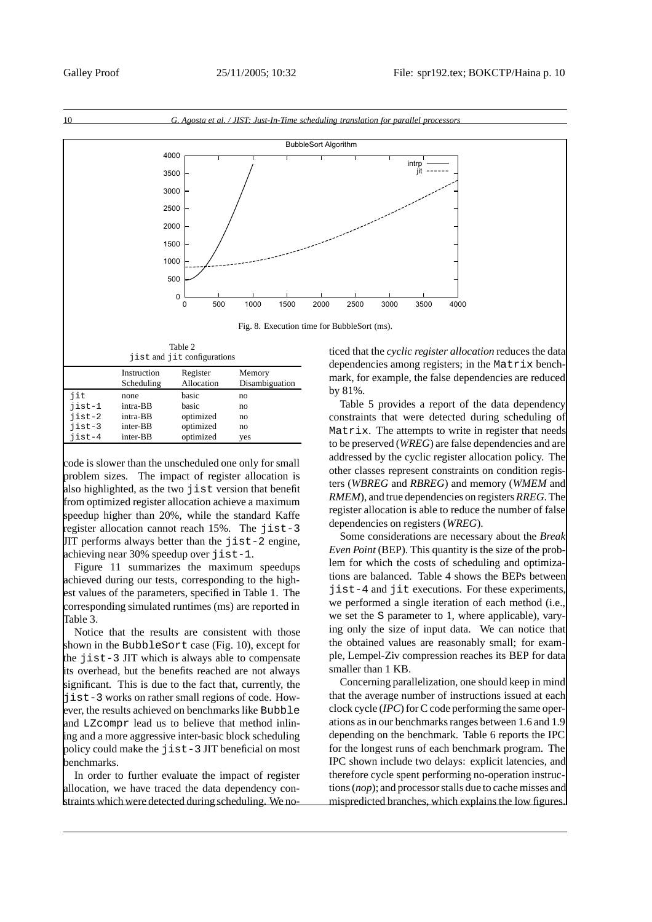

|           | Instruction<br>Scheduling | Register<br>Allocation | Memory<br>Disambiguation |
|-----------|---------------------------|------------------------|--------------------------|
| jit       | none                      | basic                  | no                       |
| $i$ ist-1 | intra-BB                  | basic                  | no                       |
| $i$ st-2  | intra-BB                  | optimized              | no                       |
| $iist-3$  | inter-BB                  | optimized              | no                       |
| iist-4    | inter-BB                  | optimized              | yes                      |

code is slower than the unscheduled one only for small problem sizes. The impact of register allocation is also highlighted, as the two jist version that benefit from optimized register allocation achieve a maximum speedup higher than 20%, while the standard Kaffe register allocation cannot reach 15%. The jist-3 JIT performs always better than the jist-2 engine, achieving near 30% speedup over jist-1.

Figure 11 summarizes the maximum speedups achieved during our tests, corresponding to the highest values of the parameters, specified in Table 1. The corresponding simulated runtimes (ms) are reported in Table 3.

Notice that the results are consistent with those shown in the BubbleSort case (Fig. 10), except for the jist-3 JIT which is always able to compensate its overhead, but the benefits reached are not always significant. This is due to the fact that, currently, the jist-3 works on rather small regions of code. However, the results achieved on benchmarkslike Bubble and LZcompr lead us to believe that method inlining and a more aggressive inter-basic block scheduling policy could make the jist-3 JIT beneficial on most benchmarks.

In order to further evaluate the impact of register allocation, we have traced the data dependency constraints which were detected during scheduling. We nomark, for example, the false dependencies are reduced by 81%.

Table 5 provides a report of the data dependency constraints that were detected during scheduling of Matrix. The attempts to write in register that needs to be preserved (*WREG*) are false dependencies and are addressed by the cyclic register allocation policy. The other classes represent constraints on condition registers (*WBREG* and *RBREG*) and memory (*WMEM* and *RMEM*), and true dependencies on registers *RREG*. The register allocation is able to reduce the number of false dependencies on registers (*WREG*).

Some considerations are necessary about the *Break Even Point* (BEP). This quantity is the size of the problem for which the costs of scheduling and optimizations are balanced. Table 4 shows the BEPs between jist-4 and jit executions. For these experiments, we performed a single iteration of each method (i.e., we set the S parameter to 1, where applicable), varying only the size of input data. We can notice that the obtained values are reasonably small; for example, Lempel-Ziv compression reaches its BEP for data smaller than 1 KB.

Concerning parallelization, one should keep in mind that the average number of instructions issued at each clock cycle (*IPC*) for C code performing the same operations as in our benchmarks ranges between 1.6 and 1.9 depending on the benchmark. Table 6 reports the IPC for the longest runs of each benchmark program. The IPC shown include two delays: explicit latencies, and therefore cycle spent performing no-operation instructions (*nop*); and processor stalls due to cache misses and mispredicted branches, which explains the low figures.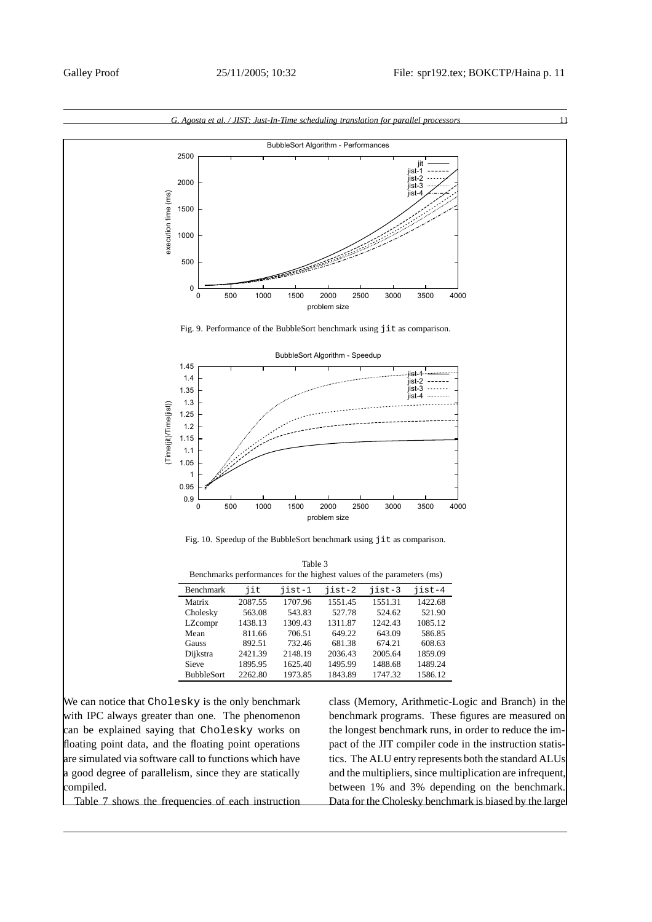## Galley Proof 25/11/2005; 10:32 File: spr192.tex; BOKCTP/Haina p. 11

jit jist-1 jist-2 jist-3 jist-4



Fig. 9. Performance of the BubbleSort benchmark using jit as comparison.



Fig. 10. Speedup of the BubbleSort benchmark using jit as comparison.

| Benchmarks performances for the highest values of the parameters (ms) |         |         |         |          |           |  |  |
|-----------------------------------------------------------------------|---------|---------|---------|----------|-----------|--|--|
| Benchmark                                                             | jit     | jist-1  | iist-2  | $iist-3$ | $i$ ist-4 |  |  |
| Matrix                                                                | 2087.55 | 1707.96 | 1551.45 | 1551.31  | 1422.68   |  |  |
| Cholesky                                                              | 563.08  | 543.83  | 527.78  | 524.62   | 521.90    |  |  |
| LZcompr                                                               | 1438.13 | 1309.43 | 1311.87 | 1242.43  | 1085.12   |  |  |
| Mean                                                                  | 811.66  | 706.51  | 649.22  | 643.09   | 586.85    |  |  |
| <b>Gauss</b>                                                          | 892.51  | 732.46  | 681.38  | 674.21   | 608.63    |  |  |
| Dijkstra                                                              | 2421.39 | 2148.19 | 2036.43 | 2005.64  | 1859.09   |  |  |
| <b>Sieve</b>                                                          | 1895.95 | 1625.40 | 1495.99 | 1488.68  | 1489.24   |  |  |
| <b>BubbleSort</b>                                                     | 2262.80 | 1973.85 | 1843.89 | 1747.32  | 1586.12   |  |  |

Table 3

We can notice that Cholesky is the only benchmark with IPC always greater than one. The phenomenon can be explained saying that Cholesky works on floating point data, and the floating point operations are simulated via software call to functions which have a good degree of parallelism, since they are statically compiled.

Table 7 shows the frequencies of each instruction

class (Memory, Arithmetic-Logic and Branch) in the benchmark programs. These figures are measured on the longest benchmark runs, in order to reduce the impact of the JIT compiler code in the instruction statistics. The ALU entry represents both the standard ALUs and the multipliers, since multiplication are infrequent, between 1% and 3% depending on the benchmark. Data for the Cholesky benchmark is biased by the large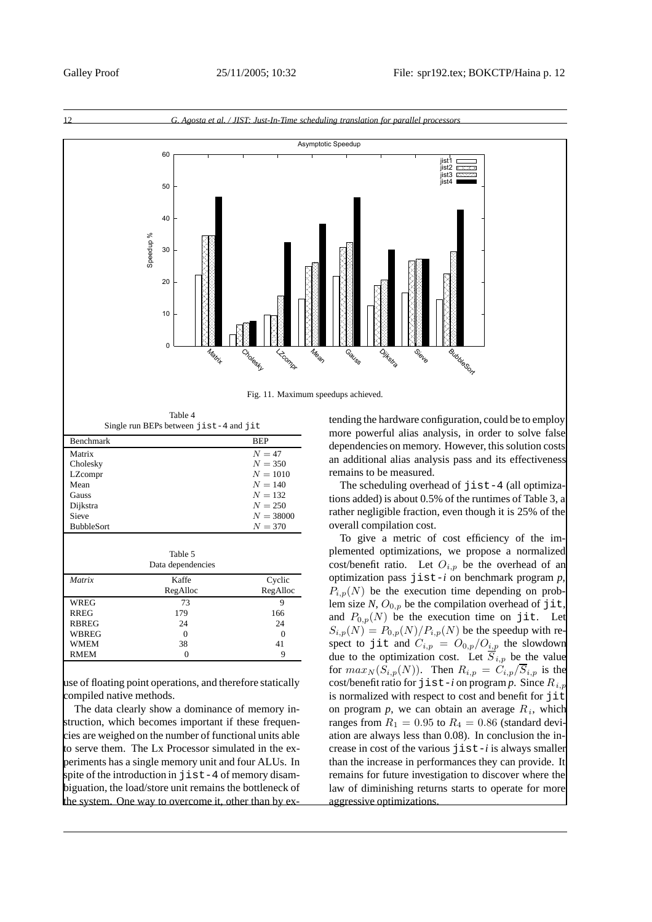

Single run BEPs between jist-4 and jit Benchmark BEP

| Matrix            | $N=47$      |
|-------------------|-------------|
| Cholesky          | $N = 350$   |
| LZcompr           | $N = 1010$  |
| Mean              | $N = 140$   |
| Gauss             | $N = 132$   |
| Dijkstra          | $N = 250$   |
| <b>Sieve</b>      | $N = 38000$ |
| <b>BubbleSort</b> | $N = 370$   |
|                   |             |

Table 5 Data dependencies

| Matrix       | Kaffe    | Cyclic   |
|--------------|----------|----------|
|              | RegAlloc | RegAlloc |
| WREG         | 73       |          |
| <b>RREG</b>  | 179      | 166      |
| <b>RBREG</b> | 24       | 24       |
| <b>WBREG</b> | 0        | 0        |
| WMEM         | 38       | 41       |
| <b>RMEM</b>  |          | 9        |

use of floating point operations, and therefore statically compiled native methods.

The data clearly show a dominance of memory instruction, which becomes important if these frequencies are weighed on the number of functional units able to serve them. The Lx Processor simulated in the experiments has a single memory unit and four ALUs. In spite of the introduction in  $\exists$  ist-4 of memory disambiguation, the load/store unit remains the bottleneck of the system. One way to overcome it, other than by extending the hardware configuration, could be to employ more powerful alias analysis, in order to solve false dependencies on memory. However, this solution costs an additional alias analysis pass and its effectiveness remains to be measured.

The scheduling overhead of jist-4 (all optimizations added) is about 0.5% of the runtimes of Table 3, a rather negligible fraction, even though it is 25% of the overall compilation cost.

To give a metric of cost efficiency of the implemented optimizations, we propose a normalized cost/benefit ratio. Let  $O_{i,p}$  be the overhead of an optimization pass jist-*i* on benchmark program *p*,  $P_{i,p}(N)$  be the execution time depending on problem size *N*,  $O_{0,p}$  be the compilation overhead of jit and  $P_{0,p}(N)$  be the execution time on jit. Let  $S_{i,p}(N) = P_{0,p}(N)/P_{i,p}(N)$  be the speedup with respect to jit and  $C_{i,p} = O_{0,p}/O_{i,p}$  the slowdown due to the optimization cost. Let  $S_{i,p}$  be the value for  $max_N (S_{i,p}(N))$ . Then  $R_{i,p} = C_{i,p}/\overline{S}_{i,p}$  is the cost/benefit ratio for  $j$  is  $t$ -*i* on program *p*. Since  $R_{i,p}$ is normalized with respect to cost and benefit for jit on program  $p$ , we can obtain an average  $R_i$ , which ranges from  $R_1 = 0.95$  to  $R_4 = 0.86$  (standard deviation are always less than 0.08). In conclusion the increase in cost of the various jist-*i* is always smaller than the increase in performances they can provide. It remains for future investigation to discover where the law of diminishing returns starts to operate for more aggressive optimizations.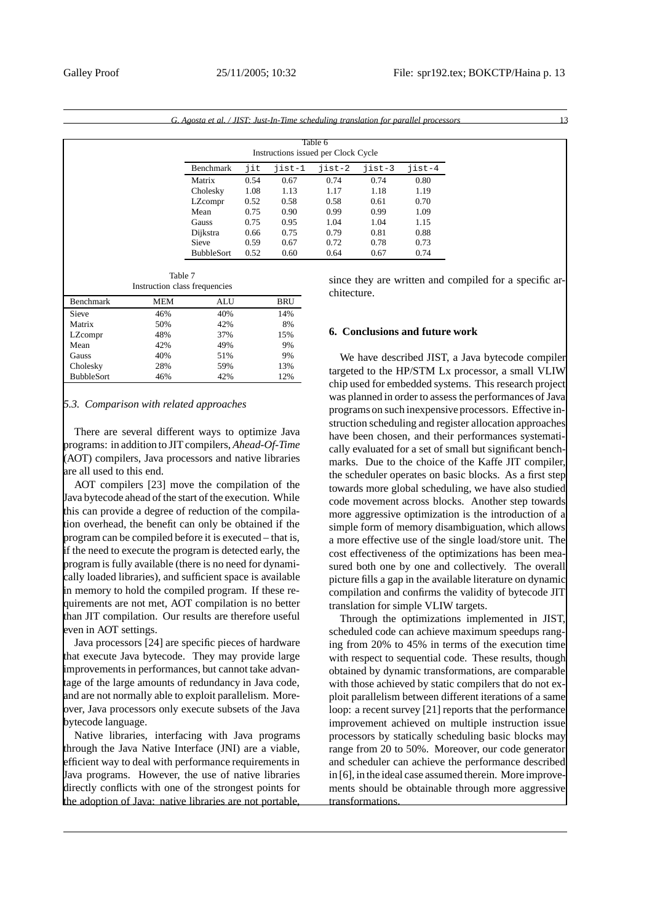*G. Agosta et al. / JIST: Just-In-Time scheduling translation for parallel processors* 13

| Table 6<br>Instructions issued per Clock Cycle |      |          |        |          |        |
|------------------------------------------------|------|----------|--------|----------|--------|
| <b>Benchmark</b>                               | jit  | $iist-1$ | iist-2 | $iist-3$ | jist-4 |
| Matrix                                         | 0.54 | 0.67     | 0.74   | 0.74     | 0.80   |
| Cholesky                                       | 1.08 | 1.13     | 1.17   | 1.18     | 1.19   |
| LZcompr                                        | 0.52 | 0.58     | 0.58   | 0.61     | 0.70   |
| Mean                                           | 0.75 | 0.90     | 0.99   | 0.99     | 1.09   |
| Gauss                                          | 0.75 | 0.95     | 1.04   | 1.04     | 1.15   |
| Dijkstra                                       | 0.66 | 0.75     | 0.79   | 0.81     | 0.88   |
| Sieve                                          | 0.59 | 0.67     | 0.72   | 0.78     | 0.73   |
| <b>BubbleSort</b>                              | 0.52 | 0.60     | 0.64   | 0.67     | 0.74   |

Table 7 Instruction class frequencies

| Benchmark         | MEM | ALU | <b>BRU</b> |
|-------------------|-----|-----|------------|
| Sieve             | 46% | 40% | 14%        |
| Matrix            | 50% | 42% | 8%         |
| LZcompr           | 48% | 37% | 15%        |
| Mean              | 42% | 49% | 9%         |
| Gauss             | 40% | 51% | 9%         |
| Cholesky          | 28% | 59% | 13%        |
| <b>BubbleSort</b> | 46% | 42% | 12%        |

## *5.3. Comparison with related approaches*

There are several different ways to optimize Java programs: in addition to JIT compilers, *Ahead-Of-Time* (AOT) compilers, Java processors and native libraries are all used to this end.

AOT compilers [23] move the compilation of the Java bytecode ahead of the start of the execution. While this can provide a degree of reduction of the compilation overhead, the benefit can only be obtained if the program can be compiled before it is executed – that is, if the need to execute the program is detected early, the program is fully available (there is no need for dynamically loaded libraries), and sufficient space is available in memory to hold the compiled program. If these requirements are not met, AOT compilation is no better than JIT compilation. Our results are therefore useful even in AOT settings.

Java processors [24] are specific pieces of hardware that execute Java bytecode. They may provide large improvements in performances, but cannot take advantage of the large amounts of redundancy in Java code, and are not normally able to exploit parallelism. Moreover, Java processors only execute subsets of the Java bytecode language.

Native libraries, interfacing with Java programs through the Java Native Interface (JNI) are a viable, efficient way to deal with performance requirements in Java programs. However, the use of native libraries directly conflicts with one of the strongest points for the adoption of Java: native libraries are not portable,

since they are written and compiled for a specific architecture.

# **6. Conclusions and future work**

We have described JIST, a Java bytecode compiler targeted to the HP/STM Lx processor, a small VLIW chip used for embedded systems. This research project was planned in order to assess the performances of Java programs on such inexpensive processors. Effective instruction scheduling and register allocation approaches have been chosen, and their performances systematically evaluated for a set of small but significant benchmarks. Due to the choice of the Kaffe JIT compiler, the scheduler operates on basic blocks. As a first step towards more global scheduling, we have also studied code movement across blocks. Another step towards more aggressive optimization is the introduction of a simple form of memory disambiguation, which allows a more effective use of the single load/store unit. The cost effectiveness of the optimizations has been measured both one by one and collectively. The overall picture fills a gap in the available literature on dynamic compilation and confirms the validity of bytecode JIT translation for simple VLIW targets.

Through the optimizations implemented in JIST, scheduled code can achieve maximum speedups ranging from 20% to 45% in terms of the execution time with respect to sequential code. These results, though obtained by dynamic transformations, are comparable with those achieved by static compilers that do not exploit parallelism between different iterations of a same loop: a recent survey [21] reports that the performance improvement achieved on multiple instruction issue processors by statically scheduling basic blocks may range from 20 to 50%. Moreover, our code generator and scheduler can achieve the performance described in [6], in the ideal case assumed therein. More improvements should be obtainable through more aggressive transformations.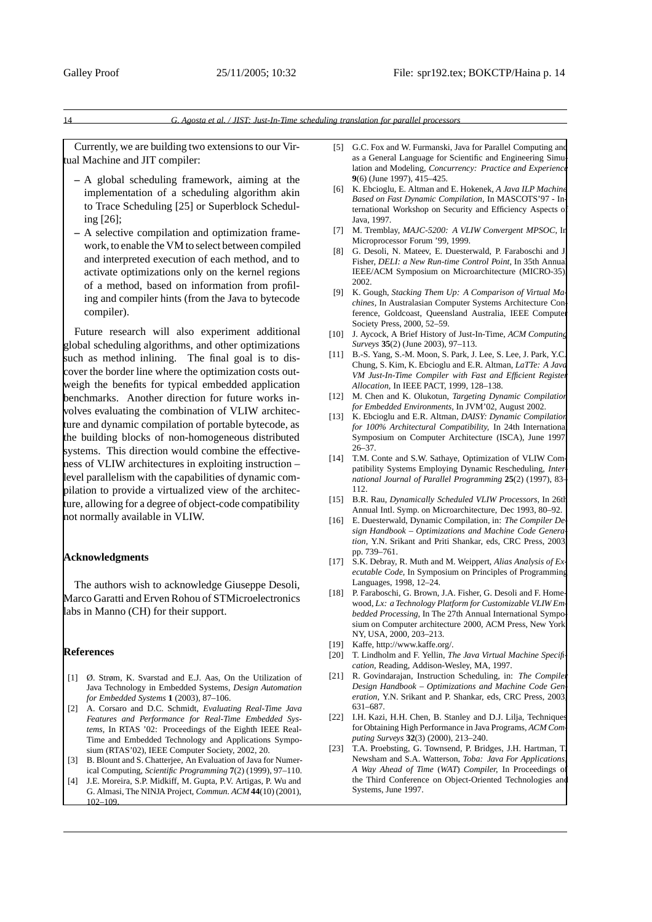#### 14 *G. Agosta et al. / JIST: Just-In-Time scheduling translation for parallel processors*

Currently, we are building two extensions to our Virtual Machine and JIT compiler:

- **–** A global scheduling framework, aiming at the implementation of a scheduling algorithm akin to Trace Scheduling [25] or Superblock Scheduling [26];
- **–** A selective compilation and optimization framework, to enable the VM to select between compiled and interpreted execution of each method, and to activate optimizations only on the kernel regions of a method, based on information from profiling and compiler hints (from the Java to bytecode compiler).

Future research will also experiment additional global scheduling algorithms, and other optimizations such as method inlining. The final goal is to discover the border line where the optimization costs outweigh the benefits for typical embedded application benchmarks. Another direction for future works involves evaluating the combination of VLIW architecture and dynamic compilation of portable bytecode, as the building blocks of non-homogeneous distributed systems. This direction would combine the effectiveness of VLIW architectures in exploiting instruction – level parallelism with the capabilities of dynamic compilation to provide a virtualized view of the architecture, allowing for a degree of object-code compatibility not normally available in VLIW.

## **Acknowledgments**

The authors wish to acknowledge Giuseppe Desoli, Marco Garatti and Erven Rohou of STMicroelectronics labs in Manno (CH) for their support.

#### **References**

- [1] Ø. Strøm, K. Svarstad and E.J. Aas, On the Utilization of Java Technology in Embedded Systems, *Design Automation for Embedded Systems* **1** (2003), 87–106.
- [2] A. Corsaro and D.C. Schmidt, *Evaluating Real-Time Java Features and Performance for Real-Time Embedded Systems,* In RTAS '02: Proceedings of the Eighth IEEE Real-Time and Embedded Technology and Applications Symposium (RTAS'02), IEEE Computer Society, 2002, 20.
- [3] B. Blount and S. Chatterjee, An Evaluation of Java for Numerical Computing, *Scientific Programming* **7**(2) (1999), 97–110.
- [4] J.E. Moreira, S.P. Midkiff, M. Gupta, P.V. Artigas, P. Wu and G. Almasi, The NINJA Project, *Commun. ACM* **44**(10) (2001), 102–109.
- [5] G.C. Fox and W. Furmanski, Java for Parallel Computing and as a General Language for Scientific and Engineering Simulation and Modeling, *Concurrency: Practice and Experience* **9**(6) (June 1997), 415–425.
- [6] K. Ebcioglu, E. Altman and E. Hokenek, *A Java ILP Machine Based on Fast Dynamic Compilation,* In MASCOTS'97 - International Workshop on Security and Efficiency Aspects of Java, 1997.
- [7] M. Tremblay, *MAJC-5200: A VLIW Convergent MPSOC,* In Microprocessor Forum '99, 1999.
- [8] G. Desoli, N. Mateev, E. Duesterwald, P. Faraboschi and J. Fisher, *DELI: a New Run-time Control Point*, In 35th Annual IEEE/ACM Symposium on Microarchitecture (MICRO-35), 2002.
- [9] K. Gough, *Stacking Them Up: A Comparison of Virtual Machines,* In Australasian Computer Systems Architecture Conference, Goldcoast, Queensland Australia, IEEE Compute Society Press, 2000, 52–59.
- [10] J. Aycock, A Brief History of Just-In-Time, *ACM Computing Surveys* **35**(2) (June 2003), 97–113.
- [11] B.-S. Yang, S.-M. Moon, S. Park, J. Lee, S. Lee, J. Park, Y.C. Chung, S. Kim, K. Ebcioglu and E.R. Altman, *LaTTe: A Java VM* Just-In-Time Compiler with Fast and Efficient Register *Allocation,* In IEEE PACT, 1999, 128–138.
- [12] M. Chen and K. Olukotun, *Targeting Dynamic Compilation for Embedded Environments,* In JVM'02, August 2002.
- [13] K. Ebcioglu and E.R. Altman, *DAISY: Dynamic Compilation for 100% Architectural Compatibility,* In 24th International Symposium on Computer Architecture (ISCA), June 1997, 26–37.
- [14] T.M. Conte and S.W. Sathaye, Optimization of VLIW Compatibility Systems Employing Dynamic Rescheduling, *International Journal of Parallel Programming* **25**(2) (1997), 83– 112.
- [15] B.R. Rau, *Dynamically Scheduled VLIW Processors,* In 26th Annual Intl. Symp. on Microarchitecture, Dec 1993, 80–92.
- [16] E. Duesterwald, Dynamic Compilation, in: *The Compiler Design Handbook – Optimizations and Machine Code Generation,* Y.N. Srikant and Priti Shankar, eds, CRC Press, 2003, pp. 739–761.
- [17] S.K. Debray, R. Muth and M. Weippert, *Alias Analysis of Executable Code,* In Symposium on Principles of Programming Languages, 1998, 12–24.
- [18] P. Faraboschi, G. Brown, J.A. Fisher, G. Desoli and F. Homewood, *Lx: a Technology Platform for Customizable VLIW Embedded Processing,* In The 27th Annual International Symposium on Computer architecture 2000, ACM Press, New York, NY, USA, 2000, 203–213.
- [19] Kaffe, http://www.kaffe.org/.
- [20] T. Lindholm and F. Yellin, *The Java Virtual Machine Specification,* Reading, Addison-Wesley, MA, 1997.
- [21] R. Govindarajan, Instruction Scheduling, in: *The Compile Design Handbook – Optimizations and Machine Code Generation,* Y.N. Srikant and P. Shankar, eds, CRC Press, 2003, 631–687.
- [22] I.H. Kazi, H.H. Chen, B. Stanley and D.J. Lilja, Techniques for Obtaining High Performance in Java Programs, *ACM Computing Surveys* **32**(3) (2000), 213–240.
- [23] T.A. Proebsting, G. Townsend, P. Bridges, J.H. Hartman, T. Newsham and S.A. Watterson, *Toba: Java For Applications, A Way Ahead of Time* (*WAT*) *Compiler,* In Proceedings of the Third Conference on Object-Oriented Technologies and Systems, June 1997.